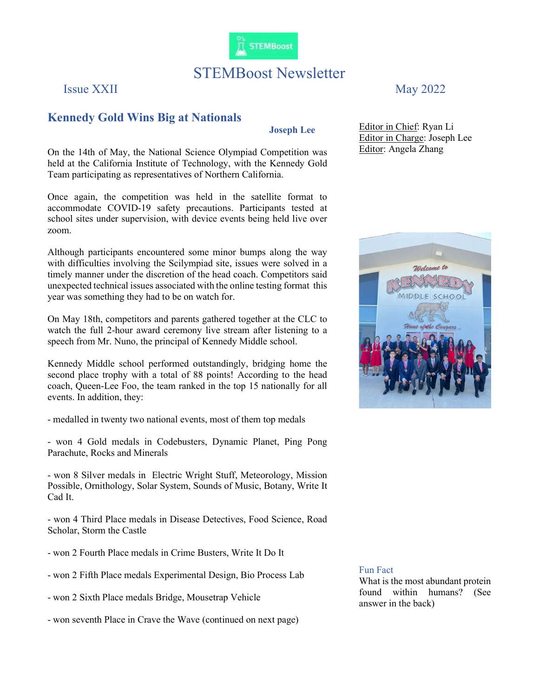

# STEMBoost Newsletter

Issue XXII May 2022

## Kennedy Gold Wins Big at Nationals

Joseph Lee

On the 14th of May, the National Science Olympiad Competition was held at the California Institute of Technology, with the Kennedy Gold Team participating as representatives of Northern California.

Once again, the competition was held in the satellite format to accommodate COVID-19 safety precautions. Participants tested at school sites under supervision, with device events being held live over zoom.

Although participants encountered some minor bumps along the way with difficulties involving the Scilympiad site, issues were solved in a timely manner under the discretion of the head coach. Competitors said unexpected technical issues associated with the online testing format this year was something they had to be on watch for.

On May 18th, competitors and parents gathered together at the CLC to watch the full 2-hour award ceremony live stream after listening to a speech from Mr. Nuno, the principal of Kennedy Middle school.

Kennedy Middle school performed outstandingly, bridging home the second place trophy with a total of 88 points! According to the head coach, Queen-Lee Foo, the team ranked in the top 15 nationally for all events. In addition, they:

- medalled in twenty two national events, most of them top medals

- won 4 Gold medals in Codebusters, Dynamic Planet, Ping Pong Parachute, Rocks and Minerals

- won 8 Silver medals in Electric Wright Stuff, Meteorology, Mission Possible, Ornithology, Solar System, Sounds of Music, Botany, Write It Cad It.

- won 4 Third Place medals in Disease Detectives, Food Science, Road Scholar, Storm the Castle

- won 2 Fourth Place medals in Crime Busters, Write It Do It
- won 2 Fifth Place medals Experimental Design, Bio Process Lab
- won 2 Sixth Place medals Bridge, Mousetrap Vehicle
- won seventh Place in Crave the Wave (continued on next page)

Editor in Chief: Ryan Li Editor in Charge: Joseph Lee Editor: Angela Zhang



#### Fun Fact

What is the most abundant protein found within humans? (See answer in the back)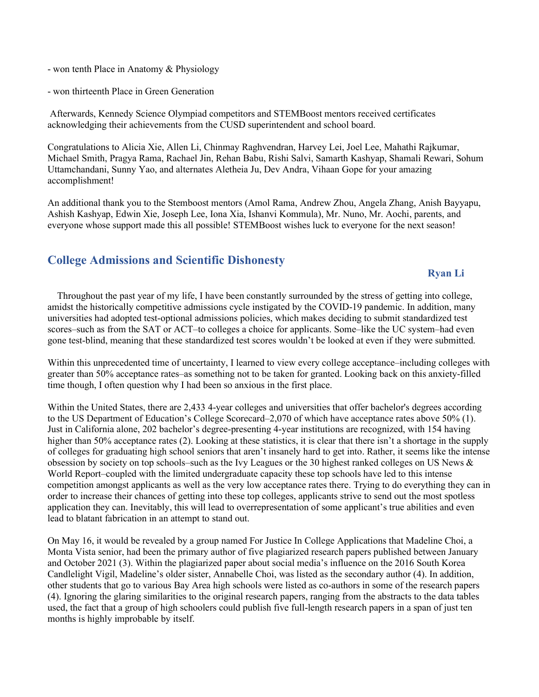- won tenth Place in Anatomy & Physiology
- won thirteenth Place in Green Generation

 Afterwards, Kennedy Science Olympiad competitors and STEMBoost mentors received certificates acknowledging their achievements from the CUSD superintendent and school board.

Congratulations to Alicia Xie, Allen Li, Chinmay Raghvendran, Harvey Lei, Joel Lee, Mahathi Rajkumar, Michael Smith, Pragya Rama, Rachael Jin, Rehan Babu, Rishi Salvi, Samarth Kashyap, Shamali Rewari, Sohum Uttamchandani, Sunny Yao, and alternates Aletheia Ju, Dev Andra, Vihaan Gope for your amazing accomplishment!

An additional thank you to the Stemboost mentors (Amol Rama, Andrew Zhou, Angela Zhang, Anish Bayyapu, Ashish Kashyap, Edwin Xie, Joseph Lee, Iona Xia, Ishanvi Kommula), Mr. Nuno, Mr. Aochi, parents, and everyone whose support made this all possible! STEMBoost wishes luck to everyone for the next season!

## College Admissions and Scientific Dishonesty

## Ryan Li

 Throughout the past year of my life, I have been constantly surrounded by the stress of getting into college, amidst the historically competitive admissions cycle instigated by the COVID-19 pandemic. In addition, many universities had adopted test-optional admissions policies, which makes deciding to submit standardized test scores–such as from the SAT or ACT–to colleges a choice for applicants. Some–like the UC system–had even gone test-blind, meaning that these standardized test scores wouldn't be looked at even if they were submitted.

Within this unprecedented time of uncertainty, I learned to view every college acceptance–including colleges with greater than 50% acceptance rates–as something not to be taken for granted. Looking back on this anxiety-filled time though, I often question why I had been so anxious in the first place.

Within the United States, there are 2,433 4-year colleges and universities that offer bachelor's degrees according to the US Department of Education's College Scorecard–2,070 of which have acceptance rates above 50% (1). Just in California alone, 202 bachelor's degree-presenting 4-year institutions are recognized, with 154 having higher than 50% acceptance rates (2). Looking at these statistics, it is clear that there isn't a shortage in the supply of colleges for graduating high school seniors that aren't insanely hard to get into. Rather, it seems like the intense obsession by society on top schools–such as the Ivy Leagues or the 30 highest ranked colleges on US News & World Report–coupled with the limited undergraduate capacity these top schools have led to this intense competition amongst applicants as well as the very low acceptance rates there. Trying to do everything they can in order to increase their chances of getting into these top colleges, applicants strive to send out the most spotless application they can. Inevitably, this will lead to overrepresentation of some applicant's true abilities and even lead to blatant fabrication in an attempt to stand out.

On May 16, it would be revealed by a group named For Justice In College Applications that Madeline Choi, a Monta Vista senior, had been the primary author of five plagiarized research papers published between January and October 2021 (3). Within the plagiarized paper about social media's influence on the 2016 South Korea Candlelight Vigil, Madeline's older sister, Annabelle Choi, was listed as the secondary author (4). In addition, other students that go to various Bay Area high schools were listed as co-authors in some of the research papers (4). Ignoring the glaring similarities to the original research papers, ranging from the abstracts to the data tables used, the fact that a group of high schoolers could publish five full-length research papers in a span of just ten months is highly improbable by itself.